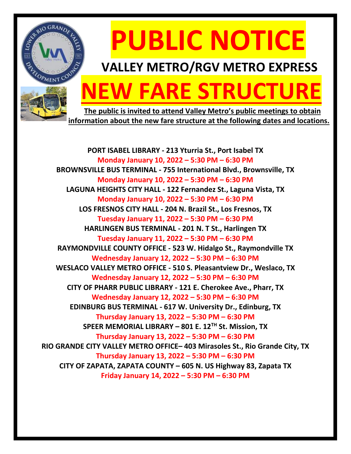

# **PUBLIC NOTICE**

### **VALLEY METRO/RGV METRO EXPRESS**

## **NEW FARE STRUCTURE**

 **The public is invited to attend Valley Metro's public meetings to obtain information about the new fare structure at the following dates and locations.**

**PORT ISABEL LIBRARY - 213 Yturria St., Port Isabel TX Monday January 10, 2022 – 5:30 PM – 6:30 PM BROWNSVILLE BUS TERMINAL - 755 International Blvd., Brownsville, TX Monday January 10, 2022 – 5:30 PM – 6:30 PM LAGUNA HEIGHTS CITY HALL - 122 Fernandez St., Laguna Vista, TX Monday January 10, 2022 – 5:30 PM – 6:30 PM LOS FRESNOS CITY HALL - 204 N. Brazil St., Los Fresnos, TX Tuesday January 11, 2022 – 5:30 PM – 6:30 PM HARLINGEN BUS TERMINAL - 201 N. T St., Harlingen TX Tuesday January 11, 2022 – 5:30 PM – 6:30 PM RAYMONDVILLE COUNTY OFFICE - 523 W. Hidalgo St., Raymondville TX Wednesday January 12, 2022 – 5:30 PM – 6:30 PM WESLACO VALLEY METRO OFFICE - 510 S. Pleasantview Dr., Weslaco, TX Wednesday January 12, 2022 – 5:30 PM – 6:30 PM CITY OF PHARR PUBLIC LIBRARY - 121 E. Cherokee Ave., Pharr, TX Wednesday January 12, 2022 – 5:30 PM – 6:30 PM EDINBURG BUS TERMINAL - 617 W. University Dr., Edinburg, TX Thursday January 13, 2022 – 5:30 PM – 6:30 PM SPEER MEMORIAL LIBRARY – 801 E. 12TH St. Mission, TX Thursday January 13, 2022 – 5:30 PM – 6:30 PM RIO GRANDE CITY VALLEY METRO OFFICE– 403 Mirasoles St., Rio Grande City, TX Thursday January 13, 2022 – 5:30 PM – 6:30 PM CITY OF ZAPATA, ZAPATA COUNTY – 605 N. US Highway 83, Zapata TX Friday January 14, 2022 – 5:30 PM – 6:30 PM**